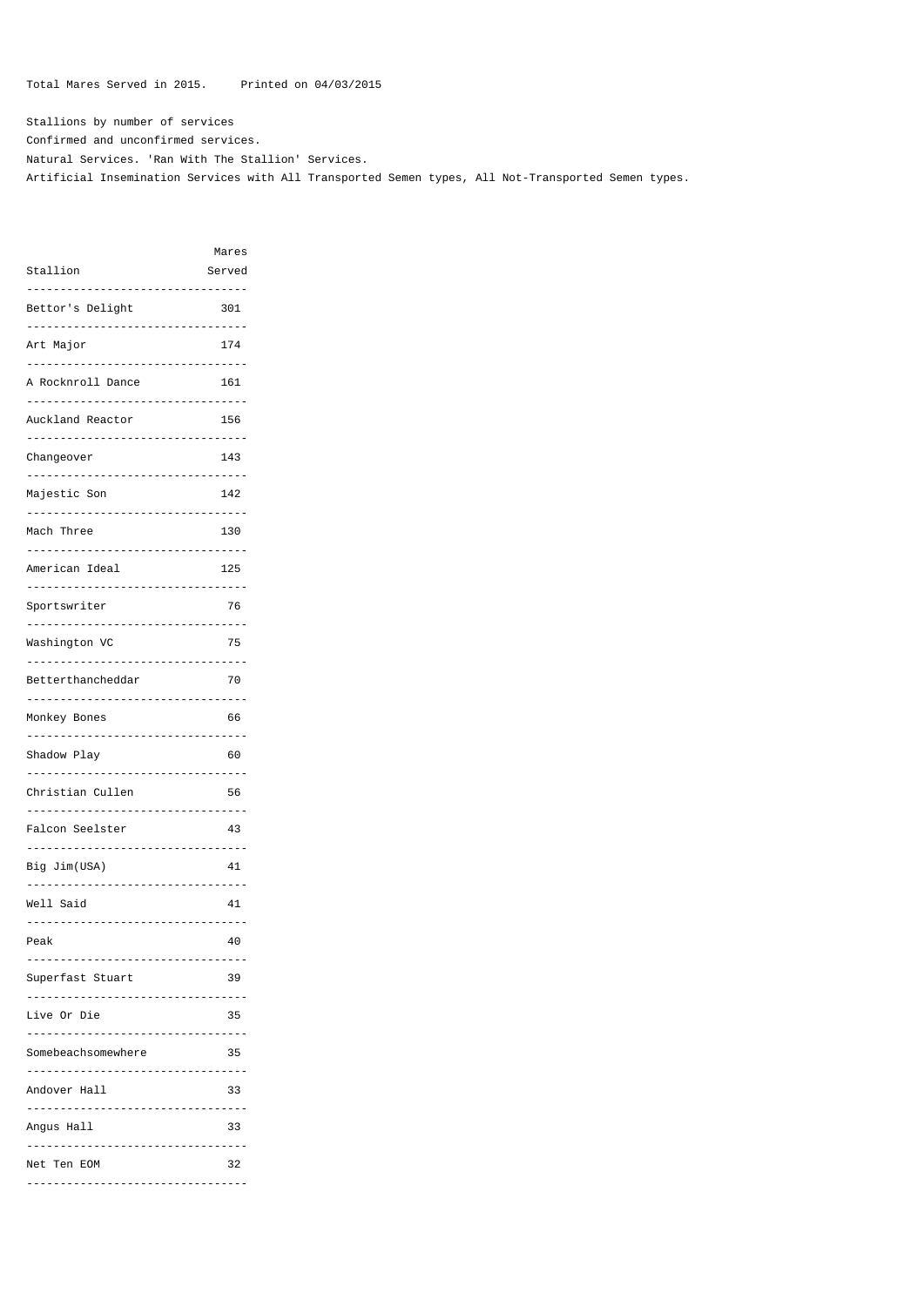Total Mares Served in 2015. Printed on 04/03/2015

Stallions by number of services Confirmed and unconfirmed services. Natural Services. 'Ran With The Stallion' Services. Artificial Insemination Services with All Transported Semen types, All Not-Transported Semen types.

|                    | Mares       |
|--------------------|-------------|
| Stallion           | Served      |
| .                  | .           |
|                    | 301         |
| Bettor's Delight   |             |
|                    |             |
| Art Major          | 174         |
|                    |             |
| A Rocknroll Dance  | 161         |
|                    |             |
|                    |             |
| Auckland Reactor   | 156         |
|                    |             |
| Changeover         | 143         |
|                    |             |
| Majestic Son       | 142         |
|                    |             |
|                    |             |
| Mach Three         | 130         |
|                    |             |
| American Ideal     | 125         |
|                    |             |
| Sportswriter       | 76          |
|                    |             |
|                    |             |
| Washington VC      | 75          |
|                    |             |
| Betterthancheddar  | 70          |
|                    | .           |
|                    |             |
| Monkey Bones       | 66          |
|                    |             |
| Shadow Play        | 60          |
|                    |             |
| Christian Cullen   | 56          |
|                    |             |
|                    |             |
| Falcon Seelster    | 43          |
|                    |             |
| Big Jim(USA)       | 41          |
|                    | $- - - - -$ |
| Well Said          | 41          |
| .<br>.<br>.        |             |
|                    |             |
| Peak               | 40          |
|                    |             |
| Superfast Stuart   | 39          |
| .                  |             |
| Live Or Die        | 35          |
| .<br>$- - -$       |             |
|                    |             |
| Somebeachsomewhere | 35          |
| .                  |             |
| Andover Hall       | 33          |
| .                  |             |
| Angus Hall         | 33          |
|                    |             |
|                    |             |
| Net Ten EOM        | 32          |
|                    |             |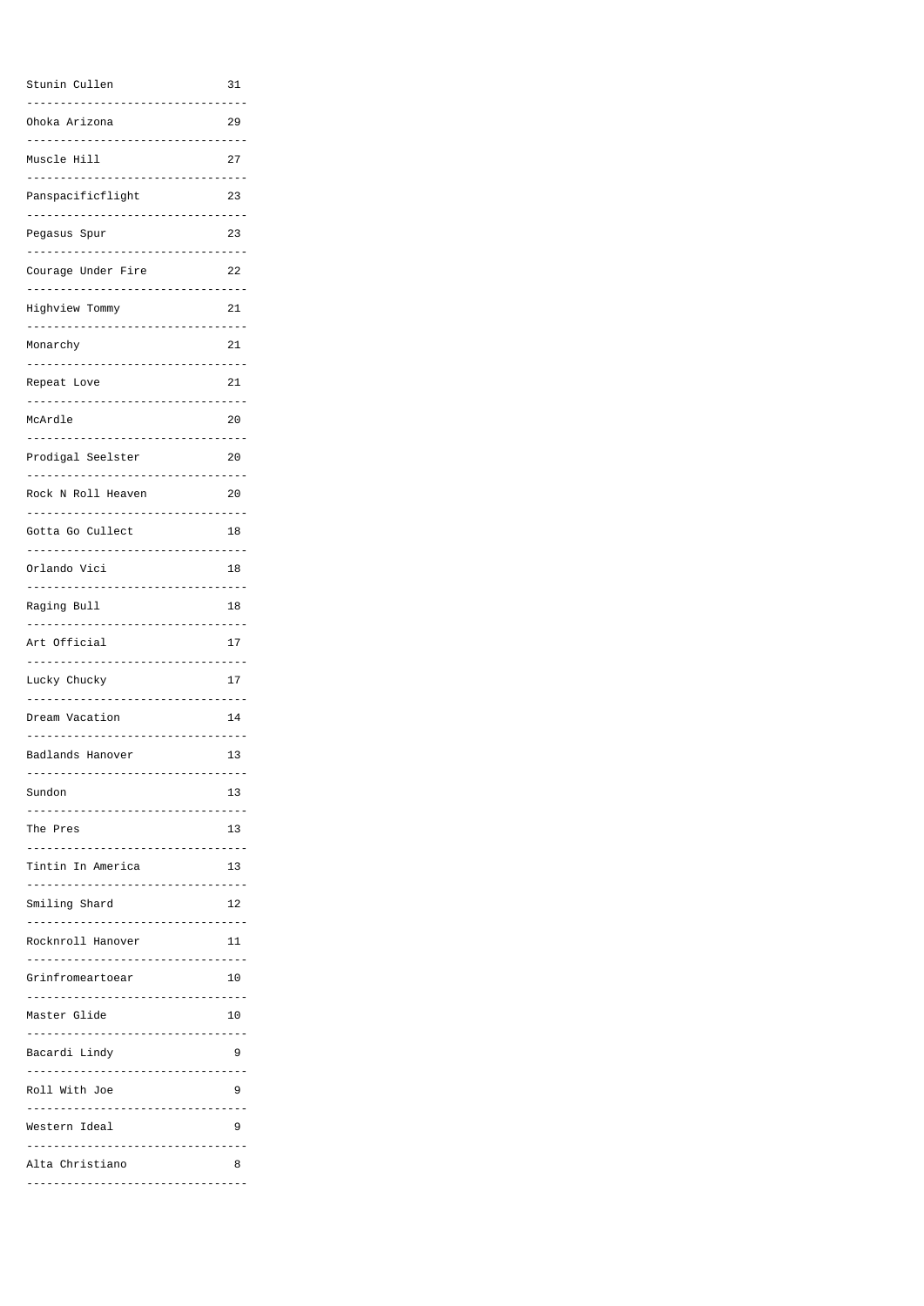| Stunin Cullen                                       | 31            |
|-----------------------------------------------------|---------------|
| Ohoka Arizona<br>. <u>.</u> .                       | 29            |
| Muscle Hill                                         | 27            |
| Panspacificflight                                   | 23            |
| Pegasus Spur<br>.<br>. <u>.</u> .                   | 23            |
| Courage Under Fire                                  | 22            |
| Highview Tommy<br>-----------<br>---------------    | 21            |
| Monarchy                                            | 21            |
| Repeat Love                                         | 21            |
| ---------------------------<br>McArdle              | 20            |
| -----------------------------<br>Prodigal Seelster  | 20            |
| .                                                   |               |
| Rock N Roll Heaven<br>---------------------------   | 20            |
| Gotta Go Cullect                                    | 18            |
| Orlando Vici                                        | 18            |
| Raging Bull<br>------------------                   | 18            |
| Art Official<br>.                                   | 17            |
| Lucky Chucky<br>-------------                       | 17            |
| Dream Vacation<br>------------                      | 14            |
| Badlands Hanover                                    | 13            |
| .<br>Sundon                                         | 13            |
|                                                     |               |
| The Pres                                            | 13<br>$- - -$ |
| Tintin In America<br>------------------------------ | 13            |
| Smiling Shard                                       | 12            |
| Rocknroll Hanover                                   | 11            |
| Grinfromeartoear                                    | 10            |
|                                                     |               |
| Master Glide                                        | 10            |
| Bacardi Lindy                                       | 9             |
| Roll With Joe<br>.<br>----------                    | 9             |
| Western Ideal                                       | 9             |
| Alta Christiano                                     | 8             |
| .                                                   |               |